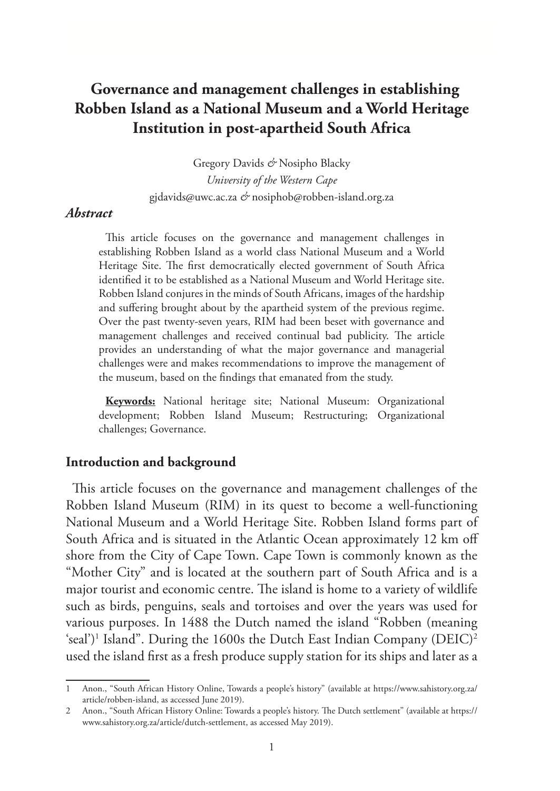# **Governance and management challenges in establishing Robben Island as a National Museum and a World Heritage Institution in post-apartheid South Africa**

Gregory Davids *&* Nosipho Blacky *University of the Western Cape* gjdavids@uwc.ac.za *&* nosiphob@robben-island.org.za

#### *Abstract*

This article focuses on the governance and management challenges in establishing Robben Island as a world class National Museum and a World Heritage Site. The first democratically elected government of South Africa identified it to be established as a National Museum and World Heritage site. Robben Island conjures in the minds of South Africans, images of the hardship and suffering brought about by the apartheid system of the previous regime. Over the past twenty-seven years, RIM had been beset with governance and management challenges and received continual bad publicity. The article provides an understanding of what the major governance and managerial challenges were and makes recommendations to improve the management of the museum, based on the findings that emanated from the study.

**Keywords:** National heritage site; National Museum: Organizational development; Robben Island Museum; Restructuring; Organizational challenges; Governance.

### **Introduction and background**

This article focuses on the governance and management challenges of the Robben Island Museum (RIM) in its quest to become a well-functioning National Museum and a World Heritage Site. Robben Island forms part of South Africa and is situated in the Atlantic Ocean approximately 12 km off shore from the City of Cape Town. Cape Town is commonly known as the "Mother City" and is located at the southern part of South Africa and is a major tourist and economic centre. The island is home to a variety of wildlife such as birds, penguins, seals and tortoises and over the years was used for various purposes. In 1488 the Dutch named the island "Robben (meaning  $\text{'seal'})^1$  Island". During the 1600s the Dutch East Indian Company (DEIC)<sup>2</sup> used the island first as a fresh produce supply station for its ships and later as a

<sup>1</sup> Anon., "South African History Online, Towards a people's history" (available at https://www.sahistory.org.za/ article/robben-island, as accessed June 2019).

<sup>2</sup> Anon., "South African History Online: Towards a people's history. The Dutch settlement" (available at https:// www.sahistory.org.za/article/dutch-settlement, as accessed May 2019).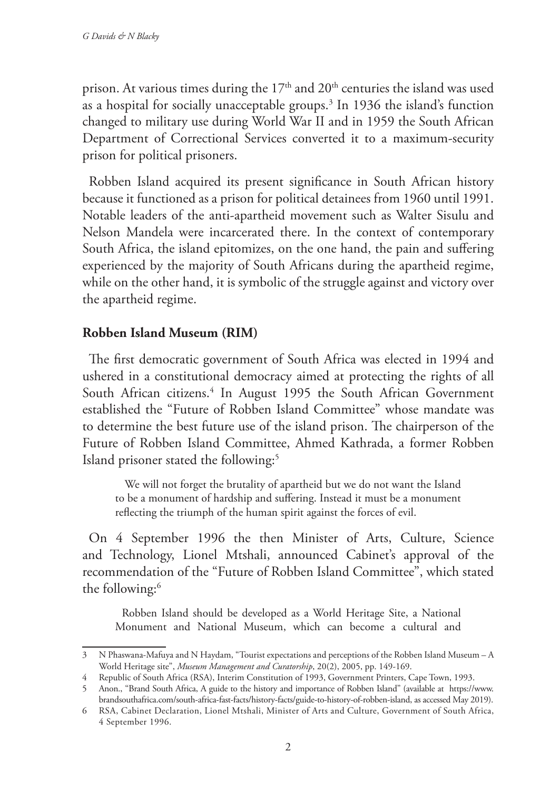prison. At various times during the  $17<sup>th</sup>$  and  $20<sup>th</sup>$  centuries the island was used as a hospital for socially unacceptable groups.3 In 1936 the island's function changed to military use during World War II and in 1959 the South African Department of Correctional Services converted it to a maximum-security prison for political prisoners.

Robben Island acquired its present significance in South African history because it functioned as a prison for political detainees from 1960 until 1991. Notable leaders of the anti-apartheid movement such as Walter Sisulu and Nelson Mandela were incarcerated there. In the context of contemporary South Africa, the island epitomizes, on the one hand, the pain and suffering experienced by the majority of South Africans during the apartheid regime, while on the other hand, it is symbolic of the struggle against and victory over the apartheid regime.

## **Robben Island Museum (RIM)**

The first democratic government of South Africa was elected in 1994 and ushered in a constitutional democracy aimed at protecting the rights of all South African citizens.4 In August 1995 the South African Government established the "Future of Robben Island Committee" whose mandate was to determine the best future use of the island prison. The chairperson of the Future of Robben Island Committee, Ahmed Kathrada, a former Robben Island prisoner stated the following:<sup>5</sup>

 We will not forget the brutality of apartheid but we do not want the Island to be a monument of hardship and suffering. Instead it must be a monument reflecting the triumph of the human spirit against the forces of evil.

On 4 September 1996 the then Minister of Arts, Culture, Science and Technology, Lionel Mtshali, announced Cabinet's approval of the recommendation of the "Future of Robben Island Committee", which stated the following:<sup>6</sup>

Robben Island should be developed as a World Heritage Site, a National Monument and National Museum, which can become a cultural and

<sup>3</sup> N Phaswana-Mafuya and N Haydam, "Tourist expectations and perceptions of the Robben Island Museum – A World Heritage site", *Museum Management and Curatorship*, 20(2), 2005, pp. 149-169.

<sup>4</sup> Republic of South Africa (RSA), Interim Constitution of 1993, Government Printers, Cape Town, 1993.

<sup>5</sup> Anon., "Brand South Africa, A guide to the history and importance of Robben Island" (available at https://www. brandsouthafrica.com/south-africa-fast-facts/history-facts/guide-to-history-of-robben-island, as accessed May 2019).

<sup>6</sup> RSA, Cabinet Declaration, Lionel Mtshali, Minister of Arts and Culture, Government of South Africa, 4 September 1996.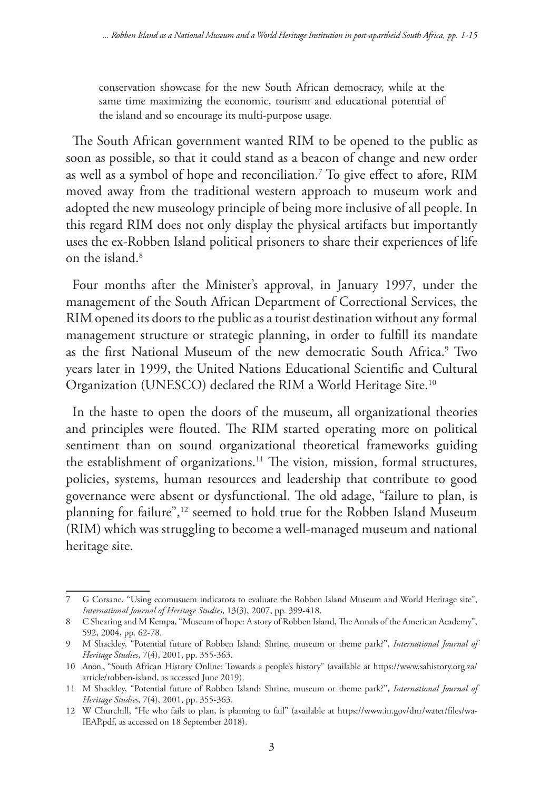conservation showcase for the new South African democracy, while at the same time maximizing the economic, tourism and educational potential of the island and so encourage its multi-purpose usage*.*

The South African government wanted RIM to be opened to the public as soon as possible, so that it could stand as a beacon of change and new order as well as a symbol of hope and reconciliation.7 To give effect to afore, RIM moved away from the traditional western approach to museum work and adopted the new museology principle of being more inclusive of all people. In this regard RIM does not only display the physical artifacts but importantly uses the ex-Robben Island political prisoners to share their experiences of life on the island.8

Four months after the Minister's approval, in January 1997, under the management of the South African Department of Correctional Services, the RIM opened its doors to the public as a tourist destination without any formal management structure or strategic planning, in order to fulfill its mandate as the first National Museum of the new democratic South Africa.9 Two years later in 1999, the United Nations Educational Scientific and Cultural Organization (UNESCO) declared the RIM a World Heritage Site.10

In the haste to open the doors of the museum, all organizational theories and principles were flouted. The RIM started operating more on political sentiment than on sound organizational theoretical frameworks guiding the establishment of organizations.<sup>11</sup> The vision, mission, formal structures, policies, systems, human resources and leadership that contribute to good governance were absent or dysfunctional. The old adage, "failure to plan, is planning for failure",<sup>12</sup> seemed to hold true for the Robben Island Museum (RIM) which was struggling to become a well-managed museum and national heritage site.

<sup>7</sup> G Corsane, "Using ecomusuem indicators to evaluate the Robben Island Museum and World Heritage site", *International Journal of Heritage Studies*, 13(3), 2007, pp. 399-418.

<sup>8</sup> C Shearing and M Kempa, "Museum of hope: A story of Robben Island, The Annals of the American Academy", 592, 2004, pp. 62-78.

<sup>9</sup> M Shackley, "Potential future of Robben Island: Shrine, museum or theme park?", *International Journal of Heritage Studies*, 7(4), 2001, pp. 355-363.

<sup>10</sup> Anon., "South African History Online: Towards a people's history" (available at https://www.sahistory.org.za/ article/robben-island, as accessed June 2019).

<sup>11</sup> M Shackley, "Potential future of Robben Island: Shrine, museum or theme park?", *International Journal of Heritage Studies*, 7(4), 2001, pp. 355-363.

<sup>12</sup> W Churchill, "He who fails to plan, is planning to fail" (available at https://www.in.gov/dnr/water/files/wa-IEAP.pdf, as accessed on 18 September 2018).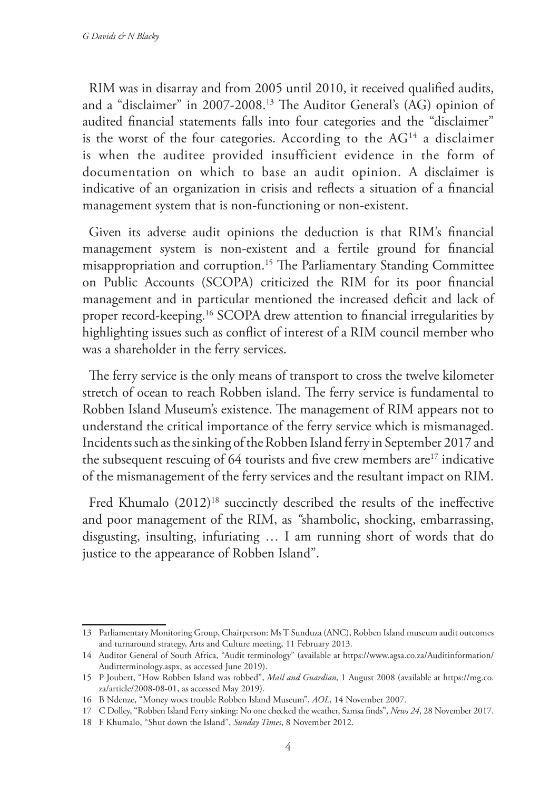RIM was in disarray and from 2005 until 2010, it received qualified audits, and a "disclaimer" in 2007-2008.13 The Auditor General's (AG) opinion of audited financial statements falls into four categories and the "disclaimer" is the worst of the four categories. According to the  $AG<sup>14</sup>$  a disclaimer is when the auditee provided insufficient evidence in the form of documentation on which to base an audit opinion. A disclaimer is indicative of an organization in crisis and reflects a situation of a financial management system that is non-functioning or non-existent.

Given its adverse audit opinions the deduction is that RIM's financial management system is non-existent and a fertile ground for financial misappropriation and corruption.15 The Parliamentary Standing Committee on Public Accounts (SCOPA) criticized the RIM for its poor financial management and in particular mentioned the increased deficit and lack of proper record-keeping.16 SCOPA drew attention to financial irregularities by highlighting issues such as conflict of interest of a RIM council member who was a shareholder in the ferry services.

The ferry service is the only means of transport to cross the twelve kilometer stretch of ocean to reach Robben island. The ferry service is fundamental to Robben Island Museum's existence. The management of RIM appears not to understand the critical importance of the ferry service which is mismanaged. Incidents such as the sinking of the Robben Island ferry in September 2017 and the subsequent rescuing of 64 tourists and five crew members are<sup>17</sup> indicative of the mismanagement of the ferry services and the resultant impact on RIM.

Fred Khumalo (2012)<sup>18</sup> succinctly described the results of the ineffective and poor management of the RIM, as *"*shambolic, shocking, embarrassing, disgusting, insulting, infuriating … I am running short of words that do justice to the appearance of Robben Island".

<sup>13</sup> Parliamentary Monitoring Group, Chairperson: Ms T Sunduza (ANC), Robben Island museum audit outcomes and turnaround strategy, Arts and Culture meeting, 11 February 2013.

<sup>14</sup> Auditor General of South Africa, "Audit terminology" (available at https://www.agsa.co.za/Auditinformation/ Auditterminology.aspx, as accessed June 2019).

<sup>15</sup> P Joubert, "How Robben Island was robbed", *Mail and Guardian,* 1 August 2008 (available at https://mg.co. za/article/2008-08-01, as accessed May 2019).

<sup>16</sup> B Ndenze, "Money woes trouble Robben Island Museum", *AOL*, 14 November 2007.

<sup>17</sup> C Dolley, "Robben Island Ferry sinking: No one checked the weather, Samsa finds", *News 24*, 28 November 2017.

<sup>18</sup> F Khumalo, "Shut down the Island", *Sunday Times*, 8 November 2012.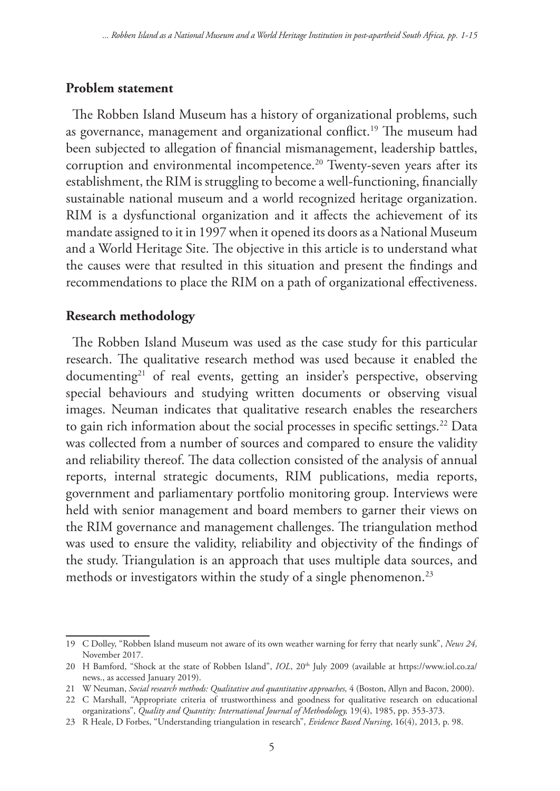#### **Problem statement**

The Robben Island Museum has a history of organizational problems, such as governance, management and organizational conflict.<sup>19</sup> The museum had been subjected to allegation of financial mismanagement, leadership battles, corruption and environmental incompetence.<sup>20</sup> Twenty-seven years after its establishment, the RIM is struggling to become a well-functioning, financially sustainable national museum and a world recognized heritage organization. RIM is a dysfunctional organization and it affects the achievement of its mandate assigned to it in 1997 when it opened its doors as a National Museum and a World Heritage Site. The objective in this article is to understand what the causes were that resulted in this situation and present the findings and recommendations to place the RIM on a path of organizational effectiveness.

### **Research methodology**

The Robben Island Museum was used as the case study for this particular research. The qualitative research method was used because it enabled the documenting<sup>21</sup> of real events, getting an insider's perspective, observing special behaviours and studying written documents or observing visual images. Neuman indicates that qualitative research enables the researchers to gain rich information about the social processes in specific settings.<sup>22</sup> Data was collected from a number of sources and compared to ensure the validity and reliability thereof. The data collection consisted of the analysis of annual reports, internal strategic documents, RIM publications, media reports, government and parliamentary portfolio monitoring group. Interviews were held with senior management and board members to garner their views on the RIM governance and management challenges. The triangulation method was used to ensure the validity, reliability and objectivity of the findings of the study. Triangulation is an approach that uses multiple data sources, and methods or investigators within the study of a single phenomenon.<sup>23</sup>

<sup>19</sup> C Dolley, "Robben Island museum not aware of its own weather warning for ferry that nearly sunk", *News 24,* November 2017.

<sup>20</sup> H Bamford, "Shock at the state of Robben Island", *IOL*, 20<sup>th</sup> July 2009 (available at https://www.iol.co.za/ news., as accessed January 2019).

<sup>21</sup> W Neuman, *Social research methods: Qualitative and quantitative approaches,* 4 (Boston, Allyn and Bacon, 2000).

<sup>22</sup> C Marshall, "Appropriate criteria of trustworthiness and goodness for qualitative research on educational organizations", *Quality and Quantity: International Journal of Methodology,* 19(4), 1985, pp. 353-373.

<sup>23</sup> R Heale, D Forbes, "Understanding triangulation in research", *Evidence Based Nursing*, 16(4), 2013, p. 98.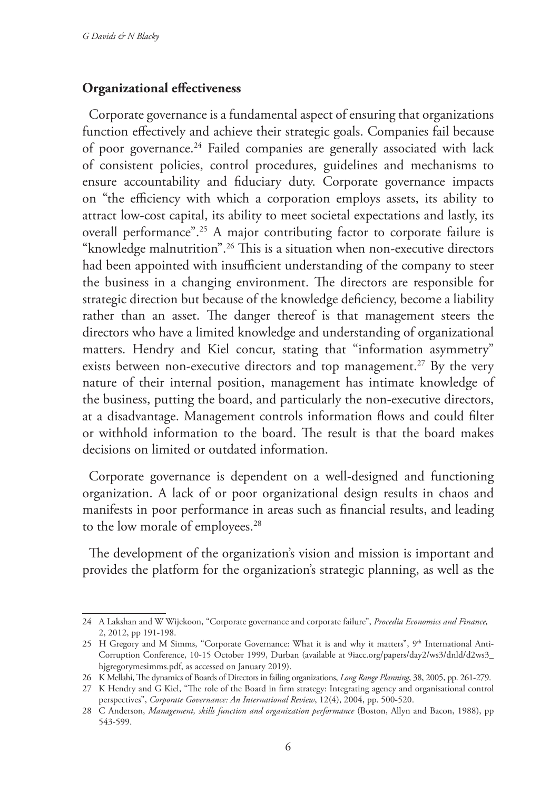#### **Organizational effectiveness**

Corporate governance is a fundamental aspect of ensuring that organizations function effectively and achieve their strategic goals. Companies fail because of poor governance.<sup>24</sup> Failed companies are generally associated with lack of consistent policies, control procedures, guidelines and mechanisms to ensure accountability and fiduciary duty. Corporate governance impacts on "the efficiency with which a corporation employs assets, its ability to attract low-cost capital, its ability to meet societal expectations and lastly, its overall performance".25 A major contributing factor to corporate failure is "knowledge malnutrition".<sup>26</sup> This is a situation when non-executive directors had been appointed with insufficient understanding of the company to steer the business in a changing environment. The directors are responsible for strategic direction but because of the knowledge deficiency, become a liability rather than an asset. The danger thereof is that management steers the directors who have a limited knowledge and understanding of organizational matters. Hendry and Kiel concur, stating that "information asymmetry" exists between non-executive directors and top management.<sup>27</sup> By the very nature of their internal position, management has intimate knowledge of the business, putting the board, and particularly the non-executive directors, at a disadvantage. Management controls information flows and could filter or withhold information to the board. The result is that the board makes decisions on limited or outdated information.

Corporate governance is dependent on a well-designed and functioning organization. A lack of or poor organizational design results in chaos and manifests in poor performance in areas such as financial results, and leading to the low morale of employees.<sup>28</sup>

The development of the organization's vision and mission is important and provides the platform for the organization's strategic planning, as well as the

<sup>24</sup> A Lakshan and W Wijekoon, "Corporate governance and corporate failure", *Procedia Economics and Finance,* 2, 2012, pp 191-198.

<sup>25</sup> H Gregory and M Simms, "Corporate Governance: What it is and why it matters", 9th International Anti-Corruption Conference, 10-15 October 1999, Durban (available at 9iacc.org/papers/day2/ws3/dnld/d2ws3\_ hjgregorymesimms.pdf, as accessed on January 2019).

<sup>26</sup> K Mellahi, The dynamics of Boards of Directors in failing organizations, *Long Range Planning*, 38, 2005, pp. 261-279.

<sup>27</sup> K Hendry and G Kiel, "The role of the Board in firm strategy: Integrating agency and organisational control perspectives", *Corporate Governance: An International Review*, 12(4), 2004, pp. 500-520.

<sup>28</sup> C Anderson, *Management, skills function and organization performance* (Boston, Allyn and Bacon, 1988), pp 543-599.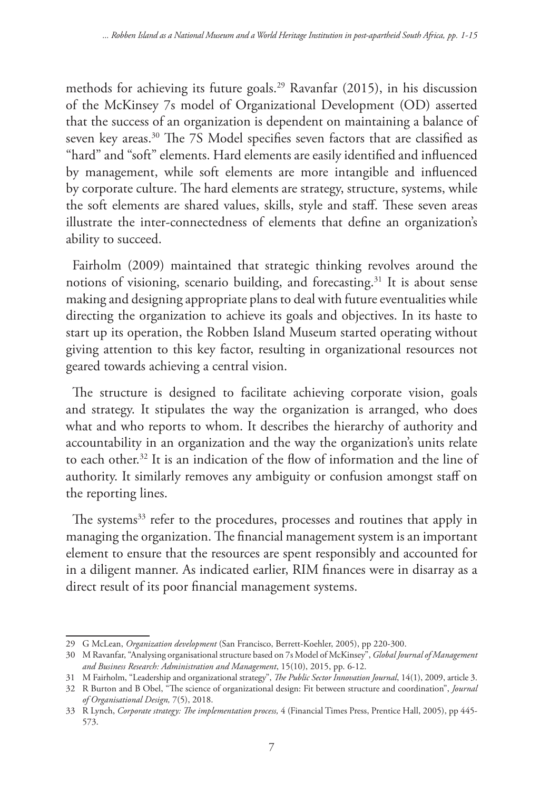methods for achieving its future goals.29 Ravanfar (2015), in his discussion of the McKinsey 7s model of Organizational Development (OD) asserted that the success of an organization is dependent on maintaining a balance of seven key areas.<sup>30</sup> The 7S Model specifies seven factors that are classified as "hard" and "soft" elements. Hard elements are easily identified and influenced by management, while soft elements are more intangible and influenced by corporate culture. The hard elements are strategy, structure, systems, while the soft elements are shared values, skills, style and staff. These seven areas illustrate the inter-connectedness of elements that define an organization's ability to succeed.

Fairholm (2009) maintained that strategic thinking revolves around the notions of visioning, scenario building, and forecasting.<sup>31</sup> It is about sense making and designing appropriate plans to deal with future eventualities while directing the organization to achieve its goals and objectives. In its haste to start up its operation, the Robben Island Museum started operating without giving attention to this key factor, resulting in organizational resources not geared towards achieving a central vision.

The structure is designed to facilitate achieving corporate vision, goals and strategy. It stipulates the way the organization is arranged, who does what and who reports to whom. It describes the hierarchy of authority and accountability in an organization and the way the organization's units relate to each other.32 It is an indication of the flow of information and the line of authority. It similarly removes any ambiguity or confusion amongst staff on the reporting lines.

The systems<sup>33</sup> refer to the procedures, processes and routines that apply in managing the organization. The financial management system is an important element to ensure that the resources are spent responsibly and accounted for in a diligent manner. As indicated earlier, RIM finances were in disarray as a direct result of its poor financial management systems.

<sup>29</sup> G McLean, *Organization development* (San Francisco, Berrett-Koehler, 2005), pp 220-300.

<sup>30</sup> M Ravanfar, "Analysing organisational structure based on 7s Model of McKinsey", *Global Journal of Management and Business Research: Administration and Management*, 15(10), 2015, pp. 6-12.

<sup>31</sup> M Fairholm, "Leadership and organizational strategy", *The Public Sector Innovation Journal*, 14(1), 2009, article 3.

<sup>32</sup> R Burton and B Obel, "The science of organizational design: Fit between structure and coordination", *Journal of Organisational Design,* 7(5), 2018.

<sup>33</sup> R Lynch, *Corporate strategy: The implementation process,* 4 (Financial Times Press, Prentice Hall, 2005), pp 445- 573.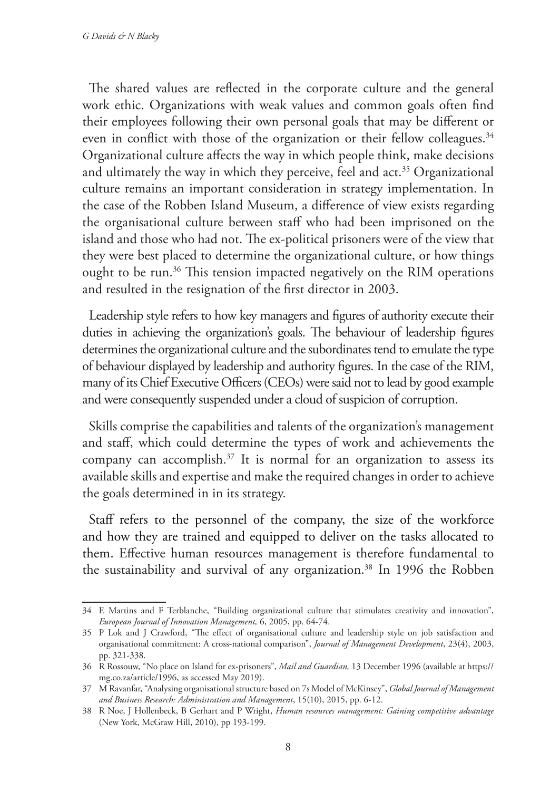The shared values are reflected in the corporate culture and the general work ethic. Organizations with weak values and common goals often find their employees following their own personal goals that may be different or even in conflict with those of the organization or their fellow colleagues.<sup>34</sup> Organizational culture affects the way in which people think, make decisions and ultimately the way in which they perceive, feel and act.<sup>35</sup> Organizational culture remains an important consideration in strategy implementation. In the case of the Robben Island Museum, a difference of view exists regarding the organisational culture between staff who had been imprisoned on the island and those who had not. The ex-political prisoners were of the view that they were best placed to determine the organizational culture, or how things ought to be run.<sup>36</sup> This tension impacted negatively on the RIM operations and resulted in the resignation of the first director in 2003.

Leadership style refers to how key managers and figures of authority execute their duties in achieving the organization's goals. The behaviour of leadership figures determines the organizational culture and the subordinates tend to emulate the type of behaviour displayed by leadership and authority figures. In the case of the RIM, many of its Chief Executive Officers (CEOs) were said not to lead by good example and were consequently suspended under a cloud of suspicion of corruption.

Skills comprise the capabilities and talents of the organization's management and staff, which could determine the types of work and achievements the company can accomplish.<sup>37</sup> It is normal for an organization to assess its available skills and expertise and make the required changes in order to achieve the goals determined in in its strategy.

Staff refers to the personnel of the company, the size of the workforce and how they are trained and equipped to deliver on the tasks allocated to them. Effective human resources management is therefore fundamental to the sustainability and survival of any organization.<sup>38</sup> In 1996 the Robben

<sup>34</sup> E Martins and F Terblanche, "Building organizational culture that stimulates creativity and innovation", *European Journal of Innovation Management,* 6, 2005, pp. 64-74.

<sup>35</sup> P Lok and J Crawford, "The effect of organisational culture and leadership style on job satisfaction and organisational commitment: A cross-national comparison", *Journal of Management Development*, 23(4), 2003, pp. 321-338.

<sup>36</sup> R Rossouw, "No place on Island for ex-prisoners", *Mail and Guardian,* 13 December 1996 (available at https:// mg.co.za/article/1996, as accessed May 2019).

<sup>37</sup> M Ravanfar, "Analysing organisational structure based on 7s Model of McKinsey", *Global Journal of Management and Business Research: Administration and Management*, 15(10), 2015, pp. 6-12.

<sup>38</sup> R Noe, J Hollenbeck, B Gerhart and P Wright, *Human resources management: Gaining competitive advantage*  (New York, McGraw Hill, 2010), pp 193-199.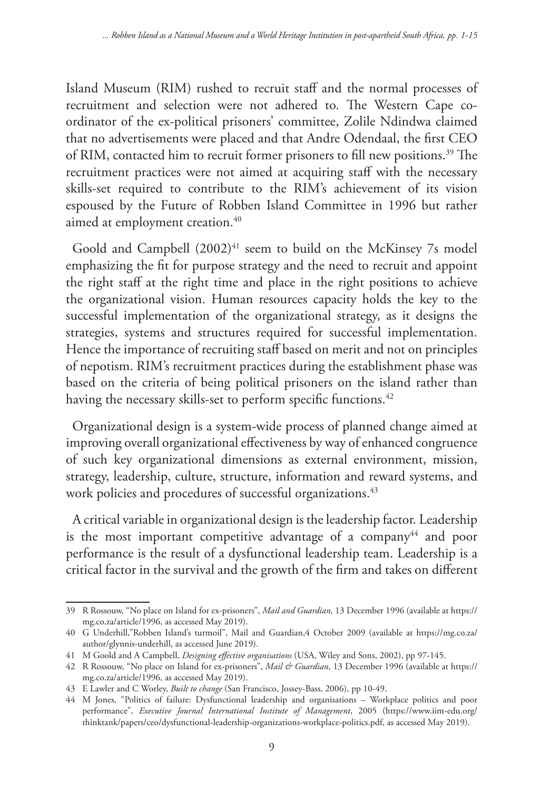Island Museum (RIM) rushed to recruit staff and the normal processes of recruitment and selection were not adhered to. The Western Cape coordinator of the ex-political prisoners' committee, Zolile Ndindwa claimed that no advertisements were placed and that Andre Odendaal, the first CEO of RIM, contacted him to recruit former prisoners to fill new positions.<sup>39</sup> The recruitment practices were not aimed at acquiring staff with the necessary skills-set required to contribute to the RIM's achievement of its vision espoused by the Future of Robben Island Committee in 1996 but rather aimed at employment creation.<sup>40</sup>

Goold and Campbell (2002)<sup>41</sup> seem to build on the McKinsey 7s model emphasizing the fit for purpose strategy and the need to recruit and appoint the right staff at the right time and place in the right positions to achieve the organizational vision. Human resources capacity holds the key to the successful implementation of the organizational strategy, as it designs the strategies, systems and structures required for successful implementation. Hence the importance of recruiting staff based on merit and not on principles of nepotism. RIM's recruitment practices during the establishment phase was based on the criteria of being political prisoners on the island rather than having the necessary skills-set to perform specific functions.<sup>42</sup>

Organizational design is a system-wide process of planned change aimed at improving overall organizational effectiveness by way of enhanced congruence of such key organizational dimensions as external environment, mission, strategy, leadership, culture, structure, information and reward systems, and work policies and procedures of successful organizations.<sup>43</sup>

A critical variable in organizational design is the leadership factor. Leadership is the most important competitive advantage of a company $44$  and poor performance is the result of a dysfunctional leadership team. Leadership is a critical factor in the survival and the growth of the firm and takes on different

<sup>39</sup> R Rossouw, "No place on Island for ex-prisoners", *Mail and Guardian,* 13 December 1996 (available at https:// mg.co.za/article/1996, as accessed May 2019).

<sup>40</sup> G Underhill,"Robben Island's turmoil", Mail and Guardian,4 October 2009 (available at https://mg.co.za/ author/glynnis-underhill, as accessed June 2019).

<sup>41</sup> M Goold and A Campbell, *Designing effective organisations* (USA, Wiley and Sons, 2002), pp 97-145.

<sup>42</sup> R Rossouw, "No place on Island for ex-prisoners", *Mail & Guardian*, 13 December 1996 (available at https:// mg.co.za/article/1996, as accessed May 2019).

<sup>43</sup> E Lawler and C Worley, *Built to change* (San Francisco, Jossey-Bass, 2006), pp 10-49.

<sup>44</sup> M Jones, "Politics of failure: Dysfunctional leadership and organisations – Workplace politics and poor performance", *Executive Journal International Institute of Management*, 2005 (https://www.iim-edu.org/ thinktank/papers/ceo/dysfunctional-leadership-organizations-workplace-politics.pdf, as accessed May 2019).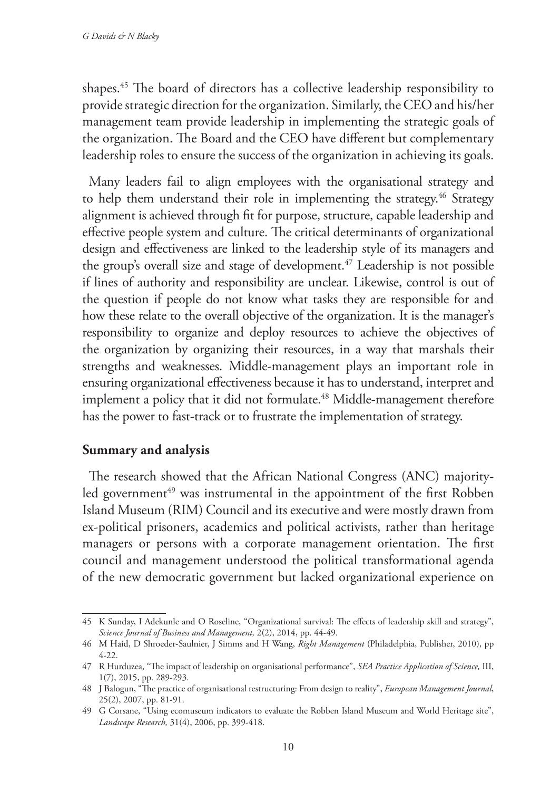shapes.45 The board of directors has a collective leadership responsibility to provide strategic direction for the organization. Similarly, the CEO and his/her management team provide leadership in implementing the strategic goals of the organization. The Board and the CEO have different but complementary leadership roles to ensure the success of the organization in achieving its goals.

Many leaders fail to align employees with the organisational strategy and to help them understand their role in implementing the strategy.<sup>46</sup> Strategy alignment is achieved through fit for purpose, structure, capable leadership and effective people system and culture. The critical determinants of organizational design and effectiveness are linked to the leadership style of its managers and the group's overall size and stage of development.<sup>47</sup> Leadership is not possible if lines of authority and responsibility are unclear. Likewise, control is out of the question if people do not know what tasks they are responsible for and how these relate to the overall objective of the organization. It is the manager's responsibility to organize and deploy resources to achieve the objectives of the organization by organizing their resources, in a way that marshals their strengths and weaknesses. Middle-management plays an important role in ensuring organizational effectiveness because it has to understand, interpret and implement a policy that it did not formulate.<sup>48</sup> Middle-management therefore has the power to fast-track or to frustrate the implementation of strategy.

### **Summary and analysis**

The research showed that the African National Congress (ANC) majorityled government<sup>49</sup> was instrumental in the appointment of the first Robben Island Museum (RIM) Council and its executive and were mostly drawn from ex-political prisoners, academics and political activists, rather than heritage managers or persons with a corporate management orientation. The first council and management understood the political transformational agenda of the new democratic government but lacked organizational experience on

<sup>45</sup> K Sunday, I Adekunle and O Roseline, "Organizational survival: The effects of leadership skill and strategy", *Science Journal of Business and Management,* 2(2), 2014, pp. 44-49.

<sup>46</sup> M Haid, D Shroeder-Saulnier, J Simms and H Wang, *Right Management* (Philadelphia, Publisher, 2010), pp 4-22.

<sup>47</sup> R Hurduzea, "The impact of leadership on organisational performance", *SEA Practice Application of Science,* III, 1(7), 2015, pp. 289-293.

<sup>48</sup> J Balogun, "The practice of organisational restructuring: From design to reality", *European Management Journal*, 25(2), 2007, pp. 81-91.

<sup>49</sup> G Corsane, "Using ecomuseum indicators to evaluate the Robben Island Museum and World Heritage site", *Landscape Research,* 31(4), 2006, pp. 399-418.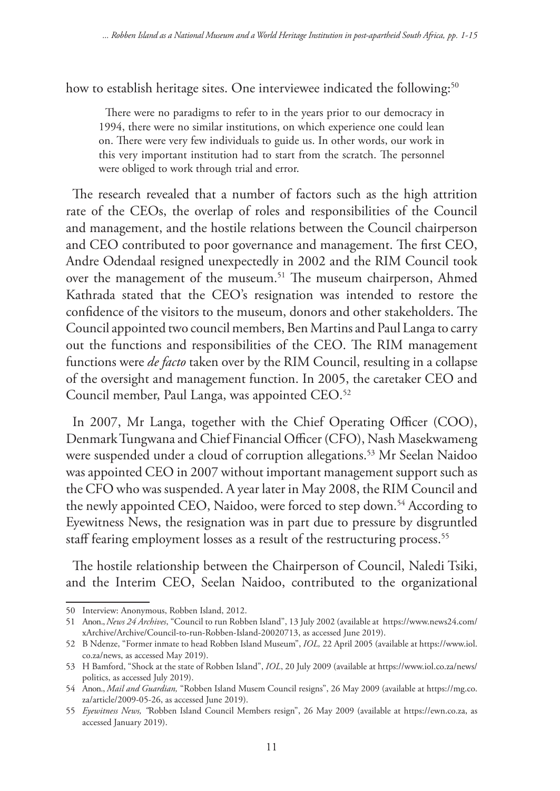how to establish heritage sites. One interviewee indicated the following:<sup>50</sup>

There were no paradigms to refer to in the years prior to our democracy in 1994, there were no similar institutions, on which experience one could lean on. There were very few individuals to guide us. In other words, our work in this very important institution had to start from the scratch. The personnel were obliged to work through trial and error.

The research revealed that a number of factors such as the high attrition rate of the CEOs, the overlap of roles and responsibilities of the Council and management, and the hostile relations between the Council chairperson and CEO contributed to poor governance and management. The first CEO, Andre Odendaal resigned unexpectedly in 2002 and the RIM Council took over the management of the museum.<sup>51</sup> The museum chairperson, Ahmed Kathrada stated that the CEO's resignation was intended to restore the confidence of the visitors to the museum, donors and other stakeholders. The Council appointed two council members, Ben Martins and Paul Langa to carry out the functions and responsibilities of the CEO. The RIM management functions were *de facto* taken over by the RIM Council, resulting in a collapse of the oversight and management function. In 2005, the caretaker CEO and Council member, Paul Langa, was appointed CEO.<sup>52</sup>

In 2007, Mr Langa, together with the Chief Operating Officer (COO), Denmark Tungwana and Chief Financial Officer (CFO), Nash Masekwameng were suspended under a cloud of corruption allegations.53 Mr Seelan Naidoo was appointed CEO in 2007 without important management support such as the CFO who was suspended. A year later in May 2008, the RIM Council and the newly appointed CEO, Naidoo, were forced to step down.<sup>54</sup> According to Eyewitness News, the resignation was in part due to pressure by disgruntled staff fearing employment losses as a result of the restructuring process.<sup>55</sup>

The hostile relationship between the Chairperson of Council, Naledi Tsiki, and the Interim CEO, Seelan Naidoo, contributed to the organizational

<sup>50</sup> Interview: Anonymous, Robben Island, 2012.

<sup>51</sup> Anon., *News 24 Archives*, "Council to run Robben Island", 13 July 2002 (available at https://www.news24.com/ xArchive/Archive/Council-to-run-Robben-Island-20020713, as accessed June 2019).

<sup>52</sup> B Ndenze, "Former inmate to head Robben Island Museum", *IOL,* 22 April 2005 (available at https://www.iol. co.za/news, as accessed May 2019).

<sup>53</sup> H Bamford, "Shock at the state of Robben Island", *IOL*, 20 July 2009 (available at https://www.iol.co.za/news/ politics, as accessed July 2019).

<sup>54</sup> Anon., *Mail and Guardian,* "Robben Island Musem Council resigns", 26 May 2009 (available at https://mg.co. za/article/2009-05-26, as accessed June 2019).

<sup>55</sup> *Eyewitness News, "*Robben Island Council Members resign", 26 May 2009 (available at https://ewn.co.za, as accessed January 2019).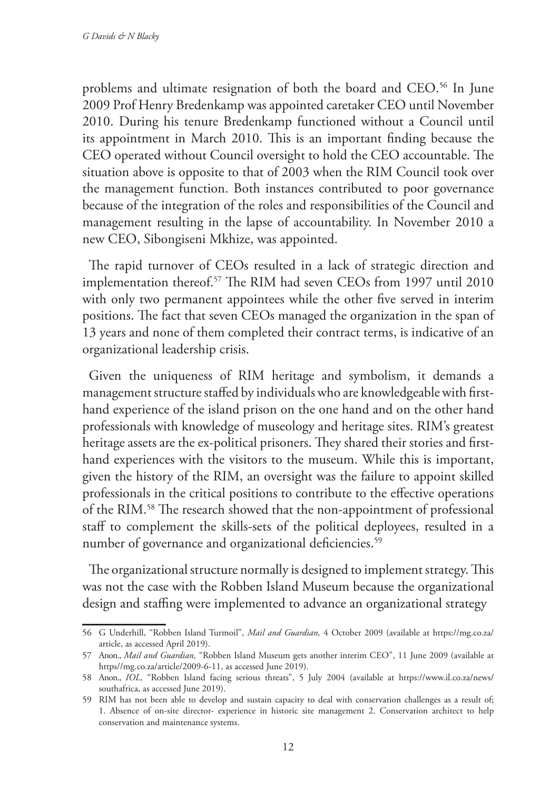problems and ultimate resignation of both the board and CEO.56 In June 2009 Prof Henry Bredenkamp was appointed caretaker CEO until November 2010. During his tenure Bredenkamp functioned without a Council until its appointment in March 2010. This is an important finding because the CEO operated without Council oversight to hold the CEO accountable. The situation above is opposite to that of 2003 when the RIM Council took over the management function. Both instances contributed to poor governance because of the integration of the roles and responsibilities of the Council and management resulting in the lapse of accountability. In November 2010 a new CEO, Sibongiseni Mkhize, was appointed.

The rapid turnover of CEOs resulted in a lack of strategic direction and implementation thereof.57 The RIM had seven CEOs from 1997 until 2010 with only two permanent appointees while the other five served in interim positions. The fact that seven CEOs managed the organization in the span of 13 years and none of them completed their contract terms, is indicative of an organizational leadership crisis.

Given the uniqueness of RIM heritage and symbolism, it demands a management structure staffed by individuals who are knowledgeable with firsthand experience of the island prison on the one hand and on the other hand professionals with knowledge of museology and heritage sites. RIM's greatest heritage assets are the ex-political prisoners. They shared their stories and firsthand experiences with the visitors to the museum. While this is important, given the history of the RIM, an oversight was the failure to appoint skilled professionals in the critical positions to contribute to the effective operations of the RIM.58 The research showed that the non-appointment of professional staff to complement the skills-sets of the political deployees, resulted in a number of governance and organizational deficiencies.<sup>59</sup>

The organizational structure normally is designed to implement strategy. This was not the case with the Robben Island Museum because the organizational design and staffing were implemented to advance an organizational strategy

<sup>56</sup> G Underhill, "Robben Island Turmoil", *Mail and Guardian,* 4 October 2009 (available at https://mg.co.za/ article, as accessed April 2019).

<sup>57</sup> Anon., *Mail and Guardian,* "Robben Island Museum gets another interim CEO", 11 June 2009 (available at https//mg.co.za/article/2009-6-11, as accessed June 2019).

<sup>58</sup> Anon., *IOL,* "Robben Island facing serious threats", 5 July 2004 (available at https://www.il.co.za/news/ southafrica, as accessed June 2019).

<sup>59</sup> RIM has not been able to develop and sustain capacity to deal with conservation challenges as a result of; 1. Absence of on-site director- experience in historic site management 2. Conservation architect to help conservation and maintenance systems.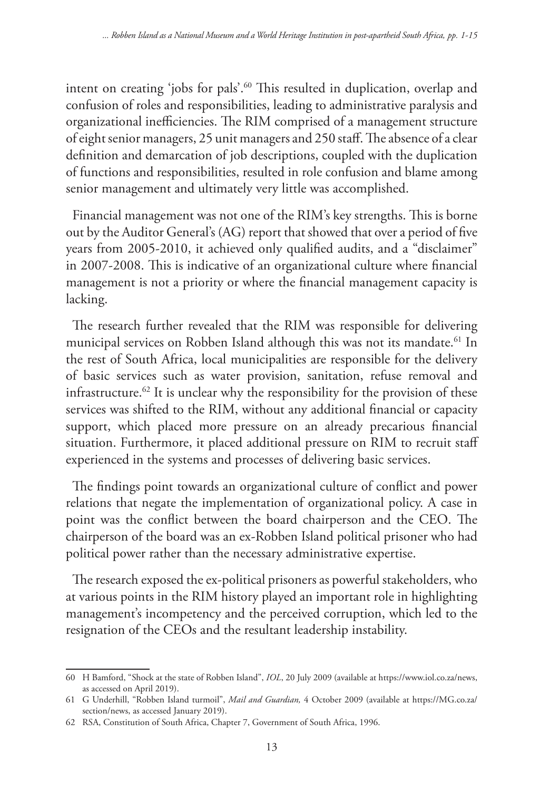intent on creating 'jobs for pals'.<sup>60</sup> This resulted in duplication, overlap and confusion of roles and responsibilities, leading to administrative paralysis and organizational inefficiencies. The RIM comprised of a management structure of eight senior managers, 25 unit managers and 250 staff. The absence of a clear definition and demarcation of job descriptions, coupled with the duplication of functions and responsibilities, resulted in role confusion and blame among senior management and ultimately very little was accomplished.

Financial management was not one of the RIM's key strengths. This is borne out by the Auditor General's (AG) report that showed that over a period of five years from 2005-2010, it achieved only qualified audits, and a "disclaimer" in 2007-2008. This is indicative of an organizational culture where financial management is not a priority or where the financial management capacity is lacking.

The research further revealed that the RIM was responsible for delivering municipal services on Robben Island although this was not its mandate.<sup>61</sup> In the rest of South Africa, local municipalities are responsible for the delivery of basic services such as water provision, sanitation, refuse removal and infrastructure.<sup>62</sup> It is unclear why the responsibility for the provision of these services was shifted to the RIM, without any additional financial or capacity support, which placed more pressure on an already precarious financial situation. Furthermore, it placed additional pressure on RIM to recruit staff experienced in the systems and processes of delivering basic services.

The findings point towards an organizational culture of conflict and power relations that negate the implementation of organizational policy. A case in point was the conflict between the board chairperson and the CEO. The chairperson of the board was an ex-Robben Island political prisoner who had political power rather than the necessary administrative expertise.

The research exposed the ex-political prisoners as powerful stakeholders, who at various points in the RIM history played an important role in highlighting management's incompetency and the perceived corruption, which led to the resignation of the CEOs and the resultant leadership instability.

<sup>60</sup> H Bamford, "Shock at the state of Robben Island", *IOL*, 20 July 2009 (available at https://www.iol.co.za/news, as accessed on April 2019).

<sup>61</sup> G Underhill, "Robben Island turmoil", *Mail and Guardian,* 4 October 2009 (available at https://MG.co.za/ section/news, as accessed January 2019).

<sup>62</sup> RSA, Constitution of South Africa, Chapter 7, Government of South Africa, 1996.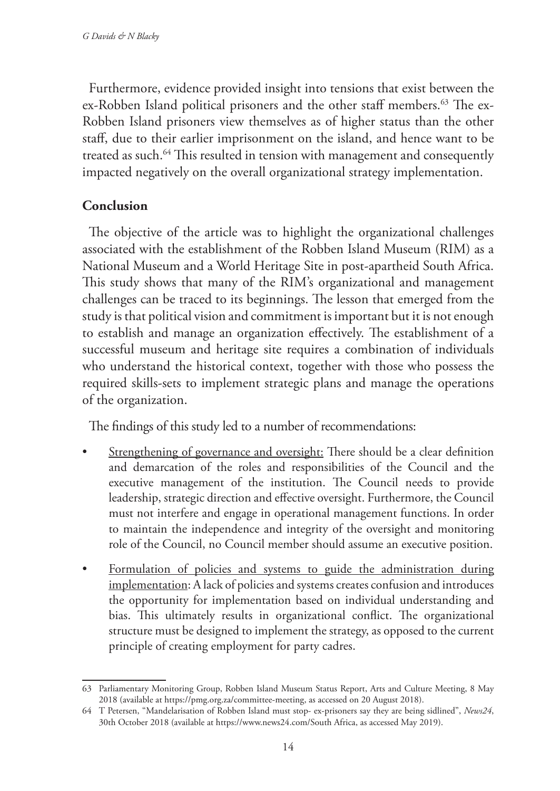Furthermore, evidence provided insight into tensions that exist between the ex-Robben Island political prisoners and the other staff members.<sup>63</sup> The ex-Robben Island prisoners view themselves as of higher status than the other staff, due to their earlier imprisonment on the island, and hence want to be treated as such.<sup>64</sup> This resulted in tension with management and consequently impacted negatively on the overall organizational strategy implementation.

## **Conclusion**

The objective of the article was to highlight the organizational challenges associated with the establishment of the Robben Island Museum (RIM) as a National Museum and a World Heritage Site in post-apartheid South Africa. This study shows that many of the RIM's organizational and management challenges can be traced to its beginnings. The lesson that emerged from the study is that political vision and commitment is important but it is not enough to establish and manage an organization effectively. The establishment of a successful museum and heritage site requires a combination of individuals who understand the historical context, together with those who possess the required skills-sets to implement strategic plans and manage the operations of the organization.

The findings of this study led to a number of recommendations:

- Strengthening of governance and oversight: There should be a clear definition and demarcation of the roles and responsibilities of the Council and the executive management of the institution. The Council needs to provide leadership, strategic direction and effective oversight. Furthermore, the Council must not interfere and engage in operational management functions. In order to maintain the independence and integrity of the oversight and monitoring role of the Council, no Council member should assume an executive position.
- Formulation of policies and systems to guide the administration during implementation: A lack of policies and systems creates confusion and introduces the opportunity for implementation based on individual understanding and bias. This ultimately results in organizational conflict. The organizational structure must be designed to implement the strategy, as opposed to the current principle of creating employment for party cadres.

<sup>63</sup> Parliamentary Monitoring Group, Robben Island Museum Status Report, Arts and Culture Meeting, 8 May 2018 (available at https://pmg.org.za/committee-meeting, as accessed on 20 August 2018).

<sup>64</sup> T Petersen, "Mandelarisation of Robben Island must stop- ex-prisoners say they are being sidlined", *News24*, 30th October 2018 (available at https://www.news24.com/South Africa, as accessed May 2019).